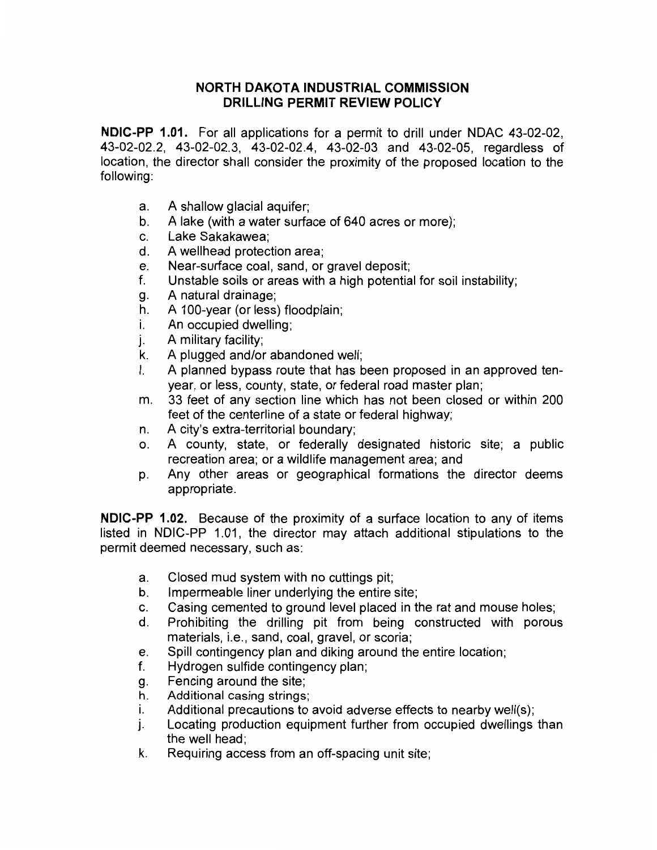## **NORTH DAKOTA INDUSTRIAL COMMISSION DRILLING PERMIT REVIEW POLICY**

**NDIC-PP 1.01.** For all applications for a permit to drill under NDAC 43-02-02, 43-02-02.2, 43-02-02.3, 43-02-02.4, 43-02-03 and 43-02-05, regardless of location, the director shall consider the proximity of the proposed location to the following:

- a. A shallow glacial aquifer;
- b. A lake (with a water surface of 640 acres or more);
- c. Lake Sakakawea;
- d. A wellhead protection area;
- e. Near-surface coal, sand, or gravel deposit;
- f. Unstable soils or areas with a high potential for soil instability;
- g. A natural drainage;
- h. A 100-year (or less) floodplain;
- i. An occupied dwelling;
- j. A military facility;
- k. A plugged and/or abandoned well;
- I. A planned bypass route that has been proposed in an approved tenyear, or less, county, state, or federal road master plan;
- m. 33 feet of any section line which has not been closed or within 200 feet of the centerline of a state or federal highway;
- n. A city's extra-territorial boundary;
- o. A county, state, or federally designated historic site; a public recreation area; or a wildlife management area; and
- p. Any other areas or geographical formations the director deems appropriate.

**NDIC-PP 1.02.** Because of the proximity of a surface location to any of items listed in NDIC-PP 1.01, the director may attach additional stipulations to the permit deemed necessary, such as:

- a. Closed mud system with no cuttings pit;
- b. Impermeable liner underlying the entire site;
- c. Casing cemented to ground level placed in the rat and mouse holes;
- d. Prohibiting the drilling pit from being constructed with porous materials, i.e., sand, coal, gravel, or scoria;
- e. Spill contingency plan and diking around the entire location;
- f. Hydrogen sulfide contingency plan;
- g. Fencing around the site;
- h. Additional casing strings;
- i. Additional precautions to avoid adverse effects to nearby well(s);
- j. Locating production equipment further from occupied dwellings than the well head;
- k. Requiring access from an off-spacing unit site;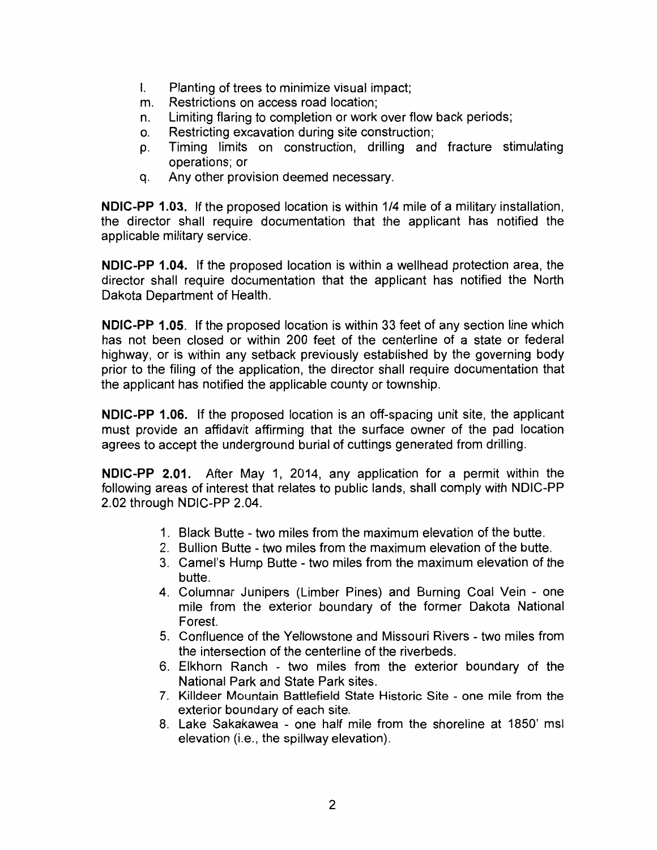- I. Planting of trees to minimize visual impact;
- m. Restrictions on access road location;
- n. Limiting flaring to completion or work over flow back periods;
- o. Restricting excavation during site construction;
- p. Timing limits on construction, drilling and fracture stimulating operations; or
- q. Any other provision deemed necessary.

**NDIC-PP 1.03.** If the proposed location is within 1/4 mile of a military installation, the director shall require documentation that the applicant has notified the applicable military service.

**NDIC-PP 1.04.** If the proposed location is within a wellhead protection area, the director shall require documentation that the applicant has notified the North Dakota Department of Health.

**NDIC-PP 1.05.** If the proposed location is within 33 feet of any section line which has not been closed or within 200 feet of the centerline of a state or federal highway, or is within any setback previously established by the governing body prior to the filing of the application, the director shall require documentation that the applicant has notified the applicable county or township.

**NDIC-PP 1.06.** If the proposed location is an off-spacing unit site, the applicant must provide an affidavit affirming that the surface owner of the pad location agrees to accept the underground burial of cuttings generated from drilling.

**NDIC-PP 2.01.** After May 1, 2014, any application for a permit within the following areas of interest that relates to public lands, shall comply with NDIC-PP 2.02 through NDIC-PP 2.04.

- 1. Black Butte two miles from the maximum elevation of the butte.
- 2. Bullion Butte two miles from the maximum elevation of the butte.
- 3. Camel's Hump Butte two miles from the maximum elevation of the butte.
- 4. Columnar Junipers (Limber Pines) and Burning Coal Vein one mile from the exterior boundary of the former Dakota National Forest.
- 5. Confluence of the Yellowstone and Missouri Rivers two miles from the intersection of the centerline of the riverbeds.
- 6. Elkhorn Ranch two miles from the exterior boundary of the National Park and State Park sites.
- 7. Killdeer Mountain Battlefield State Historic Site one mile from the exterior boundary of each site.
- 8. Lake Sakakawea one half mile from the shoreline at 1850' msl elevation (i.e., the spillway elevation).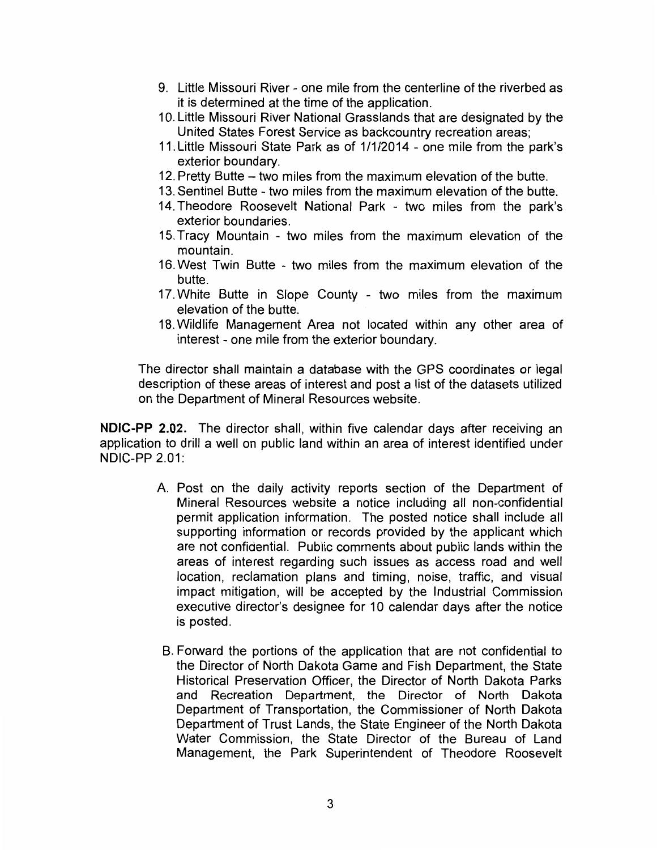- 9. Little Missouri River one mile from the centerline of the riverbed as it is determined at the time of the application.
- 10. Little Missouri River National Grasslands that are designated by the United States Forest Service as backcountry recreation areas;
- 11. Little Missouri State Park as of 1/1/2014 one mile from the park's exterior boundary.
- 12. Pretty Butte two miles from the maximum elevation of the butte.
- 13. Sentinel Butte two miles from the maximum elevation of the butte.
- 14. Theodore Roosevelt National Park two miles from the park's exterior boundaries.
- 15. Tracy Mountain two miles from the maximum elevation of the mountain.
- 16. West Twin Butte two miles from the maximum elevation of the butte.
- 17. White Butte in Slope County two miles from the maximum elevation of the butte.
- 18. Wildlife Management Area not located within any other area of interest - one mile from the exterior boundary.

The director shall maintain a database with the GPS coordinates or legal description of these areas of interest and post a list of the datasets utilized on the Department of Mineral Resources website.

**NDIC-PP 2.02.** The director shall, within five calendar days after receiving an application to drill a well on public land within an area of interest identified under NDIC-PP 2.01:

- A. Post on the daily activity reports section of the Department of Mineral Resources website a notice including all non-confidential permit application information. The posted notice shall include all supporting information or records provided by the applicant which are not confidential. Public comments about public lands within the areas of interest regarding such issues as access road and well location, reclamation plans and timing, noise, traffic, and visual impact mitigation, will be accepted by the Industrial Commission executive director's designee for 10 calendar days after the notice is posted.
- B. Forward the portions of the application that are not confidential to the Director of North Dakota Game and Fish Department, the State Historical Preservation Officer, the Director of North Dakota Parks and Recreation Department, the Director of North Dakota Department of Transportation, the Commissioner of North Dakota Department of Trust Lands, the State Engineer of the North Dakota Water Commission, the State Director of the Bureau of Land Management, the Park Superintendent of Theodore Roosevelt